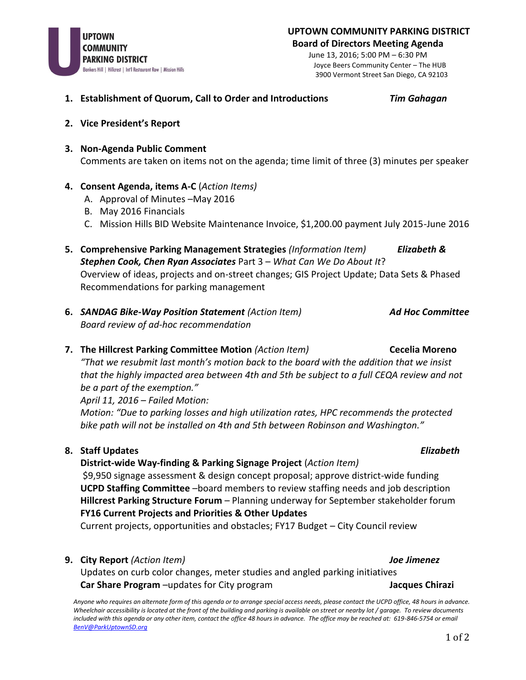

**UPTOWN COMMUNITY PARKING DISTRICT Board of Directors Meeting Agenda**

> June 13, 2016; 5:00 PM – 6:30 PM Joyce Beers Community Center – The HUB 3900 Vermont Street San Diego, CA 92103

- **1. Establishment of Quorum, Call to Order and Introductions** *Tim Gahagan*
	-

- **2. Vice President's Report**
- **3. Non-Agenda Public Comment** Comments are taken on items not on the agenda; time limit of three (3) minutes per speaker
- **4. Consent Agenda, items A-C** (*Action Items)*
	- A. Approval of Minutes –May 2016
	- B. May 2016 Financials
	- C. Mission Hills BID Website Maintenance Invoice, \$1,200.00 payment July 2015-June 2016
- **5. Comprehensive Parking Management Strategies** *(Information Item) Elizabeth & Stephen Cook, Chen Ryan Associates* Part 3 – *What Can We Do About It*? Overview of ideas, projects and on-street changes; GIS Project Update; Data Sets & Phased Recommendations for parking management
- **6.** *SANDAG Bike-Way Position Statement (Action Item) Ad Hoc Committee Board review of ad-hoc recommendation*
- **7. The Hillcrest Parking Committee Motion** *(Action Item)* **Cecelia Moreno**

*"That we resubmit last month's motion back to the board with the addition that we insist that the highly impacted area between 4th and 5th be subject to a full CEQA review and not be a part of the exemption."* 

*April 11, 2016 – Failed Motion:*

*Motion: "Due to parking losses and high utilization rates, HPC recommends the protected bike path will not be installed on 4th and 5th between Robinson and Washington."*

## **8. Staff Updates** *Elizabeth*

# **District-wide Way-finding & Parking Signage Project** (*Action Item)*

\$9,950 signage assessment & design concept proposal; approve district-wide funding **UCPD Staffing Committee** –board members to review staffing needs and job description **Hillcrest Parking Structure Forum** – Planning underway for September stakeholder forum **FY16 Current Projects and Priorities & Other Updates**

Current projects, opportunities and obstacles; FY17 Budget – City Council review

## **9. City Report** *(Action Item) Joe Jimenez*

Updates on curb color changes, meter studies and angled parking initiatives **Car Share Program** –updates for City program **Jacques Chirazi Jacques Chirazi** 

*Anyone who requires an alternate form of this agenda or to arrange special access needs, please contact the UCPD office, 48 hours in advance. Wheelchair accessibility is located at the front of the building and parking is available on street or nearby lot / garage. To review documents*  included with this agenda or any other item, contact the office 48 hours in advance. The office may be reached at: 619-846-5754 or email *[BenV@ParkUptownSD.org](mailto:BenV@ParkUptownSD.org)*